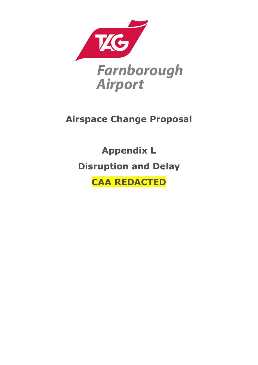

# **Airspace Change Proposal**

**Appendix L Disruption and Delay**

**CAA REDACTED**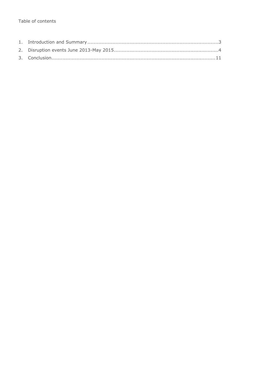#### Table of contents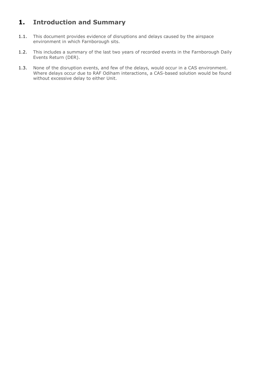### <span id="page-2-0"></span>**1. Introduction and Summary**

- 1.1. This document provides evidence of disruptions and delays caused by the airspace environment in which Farnborough sits.
- 1.2. This includes a summary of the last two years of recorded events in the Farnborough Daily Events Return (DER).
- 1.3. None of the disruption events, and few of the delays, would occur in a CAS environment. Where delays occur due to RAF Odiham interactions, a CAS-based solution would be found without excessive delay to either Unit.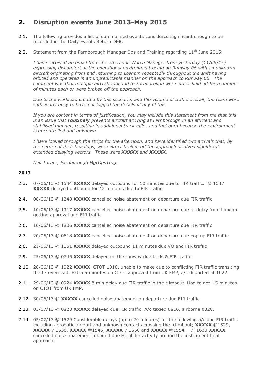### <span id="page-3-0"></span>**2. Disruption events June 2013-May 2015**

- 2.1. The following provides a list of summarised events considered significant enough to be recorded in the Daily Events Return DER.
- 2.2. Statement from the Farnborough Manager Ops and Training regarding  $11<sup>th</sup>$  June 2015:

*I have received an email from the afternoon Watch Manager from yesterday (11/06/15) expressing discomfort at the operational environment being on Runway 06 with an unknown aircraft originating from and returning to Lasham repeatedly throughout the shift having orbited and operated in an unpredictable manner on the approach to Runway 06. The comment was that multiple aircraft inbound to Farnborough were either held off for a number of minutes each or were broken off the approach.*

*Due to the workload created by this scenario, and the volume of traffic overall, the team were sufficiently busy to have not logged the details of any of this.*

*If you are content in terms of justification, you may include this statement from me that this is an issue that routinely prevents aircraft arriving at Farnborough in an efficient and stabilised manner, resulting in additional track miles and fuel burn because the environment is uncontrolled and unknown.*

*I have looked through the strips for the afternoon, and have identified two arrivals that, by the nature of their headings, were either broken off the approach or given significant extended delaying vectors. These were XXXXX and XXXXX.* 

*Neil Turner, Farnborough MgrOpsTrng.*

#### **2013**

- 2.3. 07/06/13 @ 1544 **XXXXX** delayed outbound for 10 minutes due to FIR traffic. @ 1547 **XXXXX** delayed outbound for 12 minutes due to FIR traffic.
- 2.4. 08/06/13 @ 1248 **XXXXX** cancelled noise abatement on departure due FIR traffic
- 2.5. 10/06/13 @ 1317 **XXXXX** cancelled noise abatement on departure due to delay from London getting approval and FIR traffic
- 2.6. 16/06/13 @ 1806 XXXXX cancelled noise abatement on departure due FIR traffic
- 2.7. 20/06/13 @ 0618 **XXXXX** cancelled noise abatement on departure due pop up FIR traffic
- 2.8. 21/06/13 @ 1151 **XXXXX** delayed outbound 11 minutes due VO and FIR traffic
- 2.9. 25/06/13 @ 0745 **XXXXX** delayed on the runway due birds & FIR traffic
- 2.10. 28/06/13 @ 1022 **XXXXX**, CTOT 1010, unable to make due to conflicting FIR traffic transiting the LF overhead. Extra 5 minutes on CTOT approved from UK FMP, a/c departed at 1022.
- 2.11. 29/06/13 @ 0924 **XXXXX** 8 min delay due FIR traffic in the climbout. Had to get +5 minutes on CTOT from UK FMP.
- 2.12. 30/06/13 @ **XXXXX** cancelled noise abatement on departure due FIR traffic
- 2.13. 03/07/13 @ 0828 **XXXXX** delayed due FIR traffic. A/c taxied 0816, airborne 0828.
- 2.14. 05/07/13 @ 1529 Considerable delays (up to 20 minutes) for the following a/c due FIR traffic including aerobatic aircraft and unknown contacts crossing the climbout; **XXXXX** @1529, **XXXXX** @1536, **XXXXX** @1545, **XXXXX** @1550 and **XXXXX** @1554. @ 1630 **XXXXX** cancelled noise abatement inbound due HL glider activity around the instrument final approach.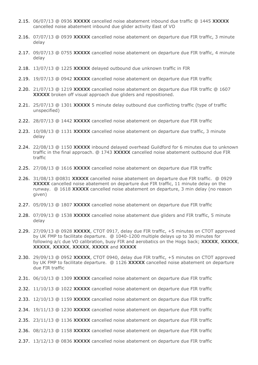- 2.15. 06/07/13 @ 0936 **XXXXX** cancelled noise abatement inbound due traffic @ 1445 **XXXXX** cancelled noise abatement inbound due glider activity East of VO
- 2.16. 07/07/13 @ 0939 **XXXXX** cancelled noise abatement on departure due FIR traffic, 3 minute delay
- 2.17. 09/07/13 @ 0755 XXXXX cancelled noise abatement on departure due FIR traffic, 4 minute delay
- 2.18. 13/07/13 @ 1225 **XXXXX** delayed outbound due unknown traffic in FIR
- 2.19. 19/07/13 @ 0942 **XXXXX** cancelled noise abatement on departure due FIR traffic
- 2.20. 21/07/13 @ 1219 **XXXXX** cancelled noise abatement on departure due FIR traffic @ 1607 **XXXXX** broken off visual approach due gliders and repositioned.
- 2.21. 25/07/13 @ 1301 **XXXXX** 5 minute delay outbound due conflicting traffic (type of traffic unspecified)
- 2.22. 28/07/13 @ 1442 **XXXXX** cancelled noise abatement on departure due FIR traffic
- 2.23. 10/08/13 @ 1131 **XXXXX** cancelled noise abatement on departure due traffic, 3 minute delay
- 2.24. 22/08/13 @ 1150 **XXXXX** inbound delayed overhead Guildford for 6 minutes due to unknown traffic in the final approach. @ 1743 **XXXXX** cancelled noise abatement outbound due FIR traffic
- 2.25. 27/08/13 @ 1616 **XXXXX** cancelled noise abatement on departure due FIR traffic
- 2.26. 31/08/13 @0831 **XXXXX** cancelled noise abatement on departure due FIR traffic. @ 0929 **XXXXX** cancelled noise abatement on departure due FIR traffic, 11 minute delay on the runway. @ 1618 **XXXXX** cancelled noise abatement on departure, 3 min delay (no reason given)
- 2.27. 05/09/13 @ 1807 **XXXXX** cancelled noise abatement on departure due FIR traffic
- 2.28. 07/09/13 @ 1538 **XXXXX** cancelled noise abatement due gliders and FIR traffic, 5 minute delay
- 2.29. 27/09/13 @ 0928 **XXXXX**, CTOT 0917, delay due FIR traffic, +5 minutes on CTOT approved by UK FMP to facilitate departure. @ 1040-1200 multiple delays up to 30 minutes for following a/c due VO calibration, busy FIR and aerobatics on the Hogs back; **XXXXX**, **XXXXX**, **XXXXX**, **XXXXX**, **XXXXX**, **XXXXX** and **XXXXX**
- 2.30. 29/09/13 @ 0952 **XXXXX**, CTOT 0940, delay due FIR traffic, +5 minutes on CTOT approved by UK FMP to facilitate departure. @ 1126 **XXXXX** cancelled noise abatement on departure due FIR traffic
- 2.31. 06/10/13 @ 1309 **XXXXX** cancelled noise abatement on departure due FIR traffic
- 2.32. 11/10/13 @ 1022 **XXXXX** cancelled noise abatement on departure due FIR traffic
- 2.33. 12/10/13 @ 1159 **XXXXX** cancelled noise abatement on departure due FIR traffic
- 2.34. 19/11/13 @ 1230 **XXXXX** cancelled noise abatement on departure due FIR traffic
- 2.35. 23/11/13 @ 1136 **XXXXX** cancelled noise abatement on departure due FIR traffic
- 2.36. 08/12/13 @ 1158 **XXXXX** cancelled noise abatement on departure due FIR traffic
- 2.37. 13/12/13 @ 0836 **XXXXX** cancelled noise abatement on departure due FIR traffic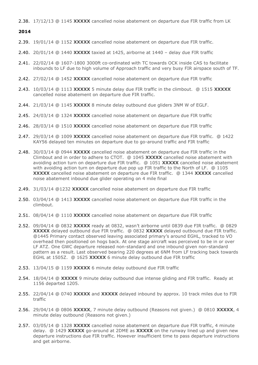2.38. 17/12/13 @ 1145 **XXXXX** cancelled noise abatement on departure due FIR traffic from LK

#### **2014**

- 2.39. 19/01/14 @ 1152 XXXXX cancelled noise abatement on departure due FIR traffic.
- 2.40. 20/01/14 @ 1440 **XXXXX** taxied at 1425, airborne at 1440 delay due FIR traffic
- 2.41. 22/02/14 @ 1607-1800 3000ft co-ordinated with TC towards OCK inside CAS to facilitate inbounds to LF due to high volume of Approach traffic and very busy FIR airspace south of TF.
- 2.42. 27/02/14 @ 1452 **XXXXX** cancelled noise abatement on departure due FIR traffic
- 2.43. 10/03/14 @ 1113 **XXXXX** 5 minute delay due FIR traffic in the climbout. @ 1515 **XXXXX** cancelled noise abatement on departure due FIR traffic.
- 2.44. 21/03/14 @ 1145 **XXXXX** 8 minute delay outbound due gliders 3NM W of EGLF.
- 2.45. 24/03/14 @ 1324 **XXXXX** cancelled noise abatement on departure due FIR traffic
- 2.46. 28/03/14 @ 1510 **XXXXX** cancelled noise abatement on departure due FIR traffic
- 2.47. 29/03/14 @ 1009 **XXXXX** cancelled noise abatement on departure due FIR traffic. @ 1422 KAY56 delayed ten minutes on departure due to go-around traffic and FIR traffic
- 2.48. 30/03/14 @ 0944 **XXXXX** cancelled noise abatement on departure due FIR traffic in the Climbout and in order to adhere to CTOT. @ 1045 **XXXXX** cancelled noise abatement with avoiding action turn on departure due FIR traffic. @ 1051 **XXXXX** cancelled noise abatement with avoiding action turn on departure due pop up FIR traffic to the North of LF. @ 1105 **XXXXX** cancelled noise abatement on departure due FIR traffic. @ 1344 **XXXXX** cancelled noise abatement inbound due glider operating on 4 mile final
- 2.49. 31/03/14 @1232 **XXXXX** cancelled noise abatement on departure due FIR traffic
- 2.50. 03/04/14 @ 1413 **XXXXX** cancelled noise abatement on departure due FIR traffic in the climbout.
- 2.51. 08/04/14 @ 1110 **XXXXX** cancelled noise abatement on departure due FIR traffic
- 2.52. 09/04/14 @ 0832 **XXXXX** ready at 0832, wasn't airborne until 0839 due FIR traffic. @ 0829 **XXXXX** delayed outbound due FIR traffic. @ 0832 **XXXXX** delayed outbound due FIR traffic. @1445 Primary contact observed leaving associated primary's around EGHL, tracked to VO overhead then positioned on hogs back. At one stage aircraft was perceived to be in or over LF ATZ. One GWC departure released non-standard and one inbound given non-standard pattern as a result. Last observed bearing 220 degrees at 6NM from LF tracking back towards EGHL at 1505Z. @ 1625 **XXXXX** 6 minute delay outbound due FIR traffic
- 2.53. 13/04/15 @ 1159 **XXXXX** 6 minute delay outbound due FIR traffic
- 2.54. 18/04/14 @ **XXXXX** 9 minute delay outbound due intense gliding and FIR traffic. Ready at 1156 departed 1205.
- 2.55. 22/04/14 @ 0740 **XXXXX** and **XXXXX** delayed inbound by approx. 10 track miles due to FIR traffic
- 2.56. 29/04/14 @ 0806 **XXXXX**, 7 minute delay outbound (Reasons not given.) @ 0810 **XXXXX**, 4 minute delay outbound (Reasons not given.)
- 2.57. 03/05/14 @ 1328 **XXXXX** cancelled noise abatement on departure due FIR traffic, 4 minute delay. @ 1429 **XXXXX** go-around at 2DME as **XXXXX** on the runway lined up and given new departure instructions due FIR traffic. However insufficient time to pass departure instructions and get airborne.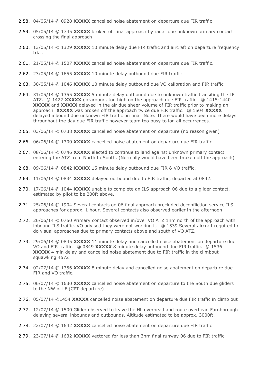- 2.58. 04/05/14 @ 0928 **XXXXX** cancelled noise abatement on departure due FIR traffic
- 2.59. 05/05/14 @ 1745 **XXXXX** broken off final approach by radar due unknown primary contact crossing the final approach
- 2.60. 13/05/14 @ 1329 **XXXXX** 10 minute delay due FIR traffic and aircraft on departure frequency trial.
- 2.61. 21/05/14 @ 1507 **XXXXX** cancelled noise abatement on departure due FIR traffic.
- 2.62. 23/05/14 @ 1655 **XXXXX** 10 minute delay outbound due FIR traffic
- 2.63. 30/05/14 @ 1046 **XXXXX** 10 minute delay outbound due VO calibration and FIR traffic
- 2.64. 31/05/14 @ 1355 **XXXXX** 5 minute delay outbound due to unknown traffic transiting the LF ATZ. @ 1427 **XXXXX** go-around, too high on the approach due FIR traffic. @ 1415-1440 **XXXXX** and **XXXXX** delayed in the air due sheer volume of FIR traffic prior to making an approach. **XXXXX** was broken off the approach twice due FIR traffic. @ 1504 **XXXXX** delayed inbound due unknown FIR traffic on final Note: There would have been more delays throughout the day due FIR traffic however team too busy to log all occurrences.
- 2.65. 03/06/14 @ 0738 **XXXXX** cancelled noise abatement on departure (no reason given)
- 2.66. 06/06/14 @ 1300 **XXXXX** cancelled noise abatement on departure due FIR traffic
- 2.67. 08/06/14 @ 0746 **XXXXX** elected to continue to land against unknown primary contact entering the ATZ from North to South. (Normally would have been broken off the approach)
- 2.68. 09/06/14 @ 0842 **XXXXX** 15 minute delay outbound due FIR & VO traffic.
- 2.69. 11/06/14 @ 0834 **XXXXX** delayed outbound due to FIR traffic, departed at 0842.
- 2.70. 17/06/14 @ 1044 **XXXXX** unable to complete an ILS approach 06 due to a glider contact, estimated by pilot to be 200ft above.
- 2.71. 25/06/14 @ 1904 Several contacts on 06 final approach precluded deconfliction service ILS approaches for approx. 1 hour. Several contacts also observed earlier in the afternoon
- 2.72. 26/06/14 @ 0750 Primary contact observed in/over VO ATZ 1nm north of the approach with inbound ILS traffic. VO advised they were not working it. @ 1539 Several aircraft required to do visual approaches due to primary contacts above and south of VO ATZ.
- 2.73. 29/06/14 @ 0845 **XXXXX** 11 minute delay and cancelled noise abatement on departure due VO and FIR traffic. @ 0849 **XXXXX** 8 minute delay outbound due FIR traffic. @ 1536 **XXXXX** 4 min delay and cancelled noise abatement due to FIR traffic in the climbout squawking 4572
- 2.74. 02/07/14 @ 1356 **XXXXX** 8 minute delay and cancelled noise abatement on departure due FIR and VO traffic.
- 2.75. 06/07/14 @ 1630 **XXXXX** cancelled noise abatement on departure to the South due gliders to the NW of LF (CPT departure)
- 2.76. 05/07/14 @1454 **XXXXX** cancelled noise abatement on departure due FIR traffic in climb out
- 2.77. 12/07/14 @ 1500 Glider observed to leave the HL overhead and route overhead Farnborough delaying several inbounds and outbounds. Altitude estimated to be approx. 3000ft.
- 2.78. 22/07/14 @ 1642 **XXXXX** cancelled noise abatement on departure due FIR traffic
- 2.79. 23/07/14 @ 1632 **XXXXX** vectored for less than 3nm final runway 06 due to FIR traffic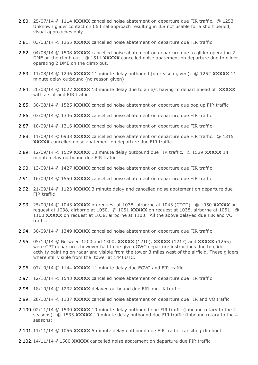- 2.80. 25/07/14 @ 1114 **XXXXX** cancelled noise abatement on departure due FIR traffic. @ 1253 Unknown glider contact on 06 final approach resulting in ILS not usable for a short period, visual approaches only
- 2.81. 03/08/14 @ 1255 **XXXXX** cancelled noise abatement on departure due FIR traffic
- 2.82. 04/08/14 @ 1508 **XXXXX** cancelled noise abatement on departure due to glider operating 2 DME on the climb out. @ 1511 **XXXXX** cancelled noise abatement on departure due to glider operating 2 DME on the climb out.
- 2.83. 11/08/14 @ 1246 **XXXXX** 11 minute delay outbound (no reason given). @ 1252 **XXXXX** 11 minute delay outbound (no reason given)
- 2.84. 20/08/14 @ 1027 **XXXXX** 13 minute delay due to an a/c having to depart ahead of **XXXXX** with a slot and FIR traffic
- 2.85. 30/08/14 @ 1525 **XXXXX** cancelled noise abatement on departure due pop up FIR traffic
- 2.86. 03/09/14 @ 1346 **XXXXX** cancelled noise abatement on departure due FIR traffic
- 2.87. 10/09/14 @ 1316 **XXXXX** cancelled noise abatement on departure due FIR traffic
- 2.88. 11/09/14 @ 0933 **XXXXX** cancelled noise abatement on departure due FIR traffic. @ 1315 **XXXXX** cancelled noise abatement on departure due FIR traffic
- 2.89. 12/09/14 @ 1529 **XXXXX** 10 minute delay outbound due FIR traffic. @ 1529 **XXXXX** 14 minute delay outbound due FIR traffic
- 2.90. 13/09/14 @ 1427 **XXXXX** cancelled noise abatement on departure due FIR traffic
- 2.91. 16/09/14 @ 1550 **XXXXX** cancelled noise abatement on departure due FIR traffic
- 2.92. 21/09/14 @ 1123 **XXXXX** 3 minute delay and cancelled noise abatement on departure due FIR traffic
- 2.93. 25/09/14 @ 1043 **XXXXX** on request at 1038, airborne at 1043 (CTOT). @ 1050 **XXXXX** on request at 1038, airborne at 1050. @ 1051 **XXXXX** on request at 1038, airborne at 1051. @ 1100 **XXXXX** on request at 1038, airborne at 1100. All the above delayed due FIR and VO traffic.
- 2.94. 30/09/14 @ 1349 **XXXXX** cancelled noise abatement on departure due FIR traffic
- 2.95. 05/10/14 @ Between 1200 and 1300, **XXXXX** (1210), **XXXXX** (1217) and **XXXXX** (1255) were CPT departures however had to be given GWC departure instructions due to glider activity painting on radar and visible from the tower 3 miles west of the airfield. These gliders where still visible from the tower at 1440UTC.
- 2.96. 07/10/14 @ 1144 **XXXXX** 11 minute delay due EGVO and FIR traffic.
- 2.97. 12/10/14 @ 1543 **XXXXX** cancelled noise abatement on departure due FIR traffic
- 2.98. 18/10/14 @ 1232 **XXXXX** delayed outbound due FIR and LK traffic
- 2.99. 28/10/14 @ 1137 **XXXXX** cancelled noise abatement on departure due FIR and VO traffic
- 2.100.02/11/14 @ 1530 **XXXXX** 10 minute delay outbound due FIR traffic (inbound rotary to the 4 seasons). @ 1533 **XXXXX** 10 minute delay outbound due FIR traffic (inbound rotary to the 4 seasons)
- 2.101.11/11/14 @ 1056 **XXXXX** 5 minute delay outbound due FIR traffic transiting climbout
- 2.102.14/11/14 @1500 **XXXXX** cancelled noise abatement on departure due FIR traffic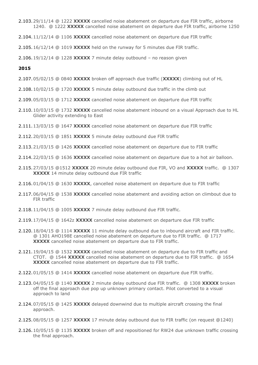- 2.103.29/11/14 @ 1222 **XXXXX** cancelled noise abatement on departure due FIR traffic, airborne 1240. @ 1222 **XXXXX** cancelled noise abatement on departure due FIR traffic, airborne 1250
- 2.104.11/12/14 @ 1106 **XXXXX** cancelled noise abatement on departure due FIR traffic

2.105.16/12/14 @ 1019 **XXXXX** held on the runway for 5 minutes due FIR traffic.

2.106.19/12/14 @ 1228 **XXXXX** 7 minute delay outbound – no reason given

#### **2015**

- 2.107.05/02/15 @ 0840 **XXXXX** broken off approach due traffic (**XXXXX**) climbing out of HL
- 2.108.10/02/15 @ 1720 **XXXXX** 5 minute delay outbound due traffic in the climb out
- 2.109.05/03/15 @ 1712 **XXXXX** cancelled noise abatement on departure due FIR traffic
- 2.110.10/03/15 @ 1732 **XXXXX** cancelled noise abatement inbound on a visual Approach due to HL Glider activity extending to East
- 2.111.13/03/15 @ 1647 **XXXXX** cancelled noise abatement on departure due FIR traffic
- 2.112.20/03/15 @ 1851 **XXXXX** 5 minute delay outbound due FIR traffic
- 2.113.21/03/15 @ 1426 **XXXXX** cancelled noise abatement on departure due to FIR traffic
- 2.114.22/03/15 @ 1636 **XXXXX** cancelled noise abatement on departure due to a hot air balloon.
- 2.115.27/03/15 @1512 **XXXXX** 20 minute delay outbound due FIR, VO and **XXXXX** traffic. @ 1307 **XXXXX** 14 minute delay outbound due FIR traffic
- 2.116.01/04/15 @ 1630 **XXXXX**, cancelled noise abatement on departure due to FIR traffic
- 2.117.06/04/15 @ 1538 **XXXXX** cancelled noise abatement and avoiding action on climbout due to FIR traffic
- 2.118.11/04/15 @ 1005 **XXXXX** 7 minute delay outbound due FIR traffic.
- 2.119.17/04/15 @ 1642z **XXXXX** cancelled noise abatement on departure due FIR traffic
- 2.120.18/04/15 @ 1114 **XXXXX** 11 minute delay outbound due to inbound aircraft and FIR traffic. @ 1301 AHO198E cancelled noise abatement on departure due to FIR traffic. @ 1717 **XXXXX** cancelled noise abatement on departure due to FIR traffic.
- 2.121.19/04/15 @ 1532 **XXXXX** cancelled noise abatement on departure due to FIR traffic and CTOT. @ 1544 **XXXXX** cancelled noise abatement on departure due to FIR traffic. @ 1654 **XXXXX** cancelled noise abatement on departure due to FIR traffic.
- 2.122.01/05/15 @ 1414 **XXXXX** cancelled noise abatement on departure due FIR traffic.
- 2.123.04/05/15 @ 1140 **XXXXX** 2 minute delay outbound due FIR traffic. @ 1308 **XXXXX** broken off the final approach due pop up unknown primary contact. Pilot converted to a visual approach to land
- 2.124.07/05/15 @ 1425 **XXXXX** delayed downwind due to multiple aircraft crossing the final approach.
- 2.125.08/05/15 @ 1257 **XXXXX** 17 minute delay outbound due to FIR traffic (on request @1240)
- 2.126.10/05/15 @ 1135 **XXXXX** broken off and repositioned for RW24 due unknown traffic crossing the final approach.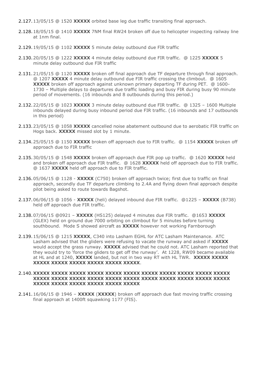- 2.127.13/05/15 @ 1520 **XXXXX** orbited base leg due traffic transiting final approach.
- 2.128.18/05/15 @ 1410 **XXXXX** 7NM final RW24 broken off due to helicopter inspecting railway line at 1nm final.
- 2.129.19/05/15 @ 1102 **XXXXX** 5 minute delay outbound due FIR traffic
- 2.130.20/05/15 @ 1222 **XXXXX** 4 minute delay outbound due FIR traffic. @ 1225 **XXXXX** 5 minute delay outbound due FIR traffic
- 2.131.21/05/15 @ 1120 **XXXXX** broken off final approach due TF departure through final approach. @ 1207 **XXXXX** 4 minute delay outbound due FIR traffic crossing the climbout. @ 1605 **XXXXX** broken off approach against unknown primary departing TF during PET. @ 1600- 1730 – Multiple delays to departures due traffic loading and busy FIR during busy 90 minute period of movements. (16 inbounds and 8 outbounds during this period.)
- 2.132.22/05/15 @ 1023 **XXXXX** 3 minute delay outbound due FIR traffic. @ 1325 1600 Multiple inbounds delayed during busy inbound period due FIR traffic. (16 inbounds and 17 outbounds in this period)
- 2.133.23/05/15 @ 1058 **XXXXX** cancelled noise abatement outbound due to aerobatic FIR traffic on Hogs back. **XXXXX** missed slot by 1 minute.
- 2.134.25/05/15 @ 1150 **XXXXX** broken off approach due to FIR traffic. @ 1154 **XXXXX** broken off approach due to FIR traffic
- 2.135.30/05/15 @ 1548 **XXXXX** broken off approach due FIR pop up traffic. @ 1620 **XXXXX** held and broken off approach due FIR traffic. @ 1628 **XXXXX** held off approach due to FIR traffic. @ 1637 **XXXXX** held off approach due to FIR traffic.
- 2.136.05/06/15 @ 1128 **XXXXX** (C750) broken off approach twice; first due to traffic on final approach, secondly due TF departure climbing to 2.4A and flying down final approach despite pilot being asked to route towards Bagshot.
- 2.137.06/06/15 @ 1056 **XXXXX** (heli) delayed inbound due FIR traffic. @1225 **XXXXX** (B738) held off approach due FIR traffic.
- 2.138.07/06/15 @0921 **XXXXX** (HS125) delayed 4 minutes due FIR traffic. @1653 **XXXXX** (GLEX) held on ground due 7000 orbiting on climbout for 5 minutes before turning southbound. Mode S showed aircraft as **XXXXX** however not working Farnborough
- 2.139.15/06/15 @ 1215 **XXXXX**, C340 into Lasham EGHL for ATC Lasham Maintenance. ATC Lasham advised that the gliders were refusing to vacate the runway and asked if **XXXXX** would accept the grass runway. **XXXXX** advised that he could not. ATC Lasham reported that they would try to 'force the gliders to get off the runway'. At 1228, RW09 became available at HL and at 1240, **XXXXX** landed, but not in two way RT with HL TWR. **XXXXX XXXXX XXXXX XXXXX XXXXX XXXXX XXXXX XXXXX**.

#### 2.140.**XXXXX XXXXX XXXXX XXXXX XXXXX XXXXX XXXXX XXXXX XXXXX XXXXX XXXXX XXXXX XXXXX XXXXX XXXXX XXXXX XXXXX XXXXX XXXXX XXXXX XXXXX XXXXX XXXXX XXXXX XXXXX XXXXX XXXXX XXXXX**

2.141.16/06/15 @ 1946 – **XXXXX** (**XXXXX**) broken off approach due fast moving traffic crossing final approach at 1400ft squawking 1177 (FIS).